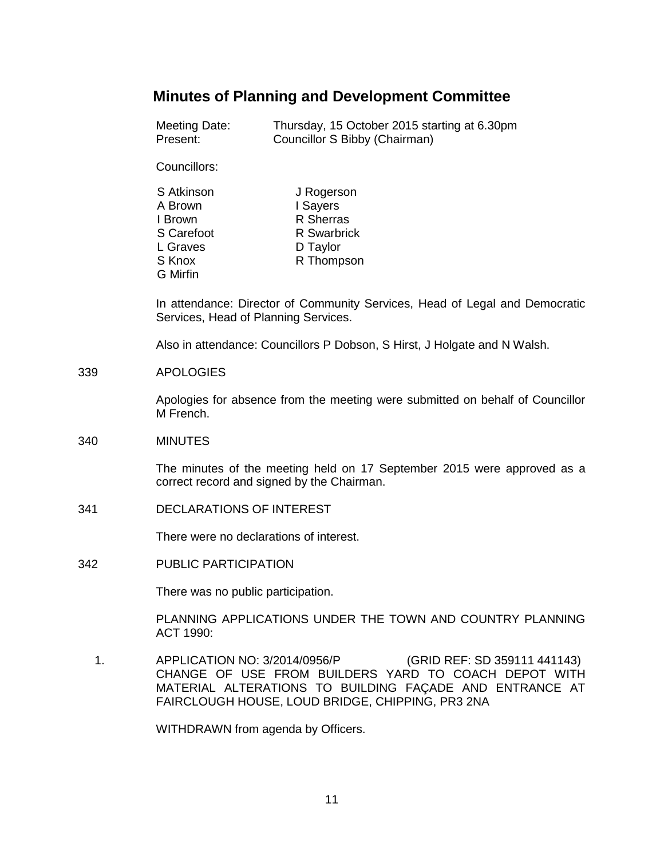# **Minutes of Planning and Development Committee**

| Meeting Date: | Thursday, 15 October 2015 starting at 6.30pm |
|---------------|----------------------------------------------|
| Present:      | Councillor S Bibby (Chairman)                |

Councillors:

| S Atkinson | J Rogerson  |
|------------|-------------|
| A Brown    | I Sayers    |
| I Brown    | R Sherras   |
| S Carefoot | R Swarbrick |
| L Graves   | D Taylor    |
| S Knox     | R Thompson  |
| G Mirfin   |             |

In attendance: Director of Community Services, Head of Legal and Democratic Services, Head of Planning Services.

Also in attendance: Councillors P Dobson, S Hirst, J Holgate and N Walsh.

#### 339 APOLOGIES

Apologies for absence from the meeting were submitted on behalf of Councillor M French.

### 340 MINUTES

The minutes of the meeting held on 17 September 2015 were approved as a correct record and signed by the Chairman.

341 DECLARATIONS OF INTEREST

There were no declarations of interest.

342 PUBLIC PARTICIPATION

There was no public participation.

PLANNING APPLICATIONS UNDER THE TOWN AND COUNTRY PLANNING ACT 1990:

 1. APPLICATION NO: 3/2014/0956/P (GRID REF: SD 359111 441143) CHANGE OF USE FROM BUILDERS YARD TO COACH DEPOT WITH MATERIAL ALTERATIONS TO BUILDING FAÇADE AND ENTRANCE AT FAIRCLOUGH HOUSE, LOUD BRIDGE, CHIPPING, PR3 2NA

WITHDRAWN from agenda by Officers.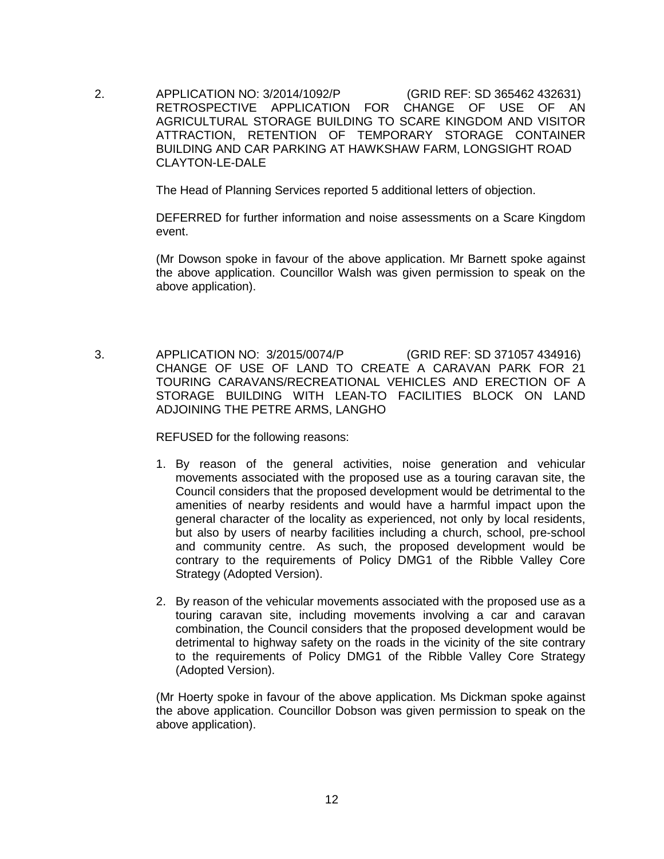2. APPLICATION NO: 3/2014/1092/P (GRID REF: SD 365462 432631) RETROSPECTIVE APPLICATION FOR CHANGE OF USE OF AN AGRICULTURAL STORAGE BUILDING TO SCARE KINGDOM AND VISITOR ATTRACTION, RETENTION OF TEMPORARY STORAGE CONTAINER BUILDING AND CAR PARKING AT HAWKSHAW FARM, LONGSIGHT ROAD CLAYTON-LE-DALE

The Head of Planning Services reported 5 additional letters of objection.

DEFERRED for further information and noise assessments on a Scare Kingdom event.

(Mr Dowson spoke in favour of the above application. Mr Barnett spoke against the above application. Councillor Walsh was given permission to speak on the above application).

 3. APPLICATION NO: 3/2015/0074/P (GRID REF: SD 371057 434916) CHANGE OF USE OF LAND TO CREATE A CARAVAN PARK FOR 21 TOURING CARAVANS/RECREATIONAL VEHICLES AND ERECTION OF A STORAGE BUILDING WITH LEAN-TO FACILITIES BLOCK ON LAND ADJOINING THE PETRE ARMS, LANGHO

REFUSED for the following reasons:

- 1. By reason of the general activities, noise generation and vehicular movements associated with the proposed use as a touring caravan site, the Council considers that the proposed development would be detrimental to the amenities of nearby residents and would have a harmful impact upon the general character of the locality as experienced, not only by local residents, but also by users of nearby facilities including a church, school, pre-school and community centre. As such, the proposed development would be contrary to the requirements of Policy DMG1 of the Ribble Valley Core Strategy (Adopted Version).
- 2. By reason of the vehicular movements associated with the proposed use as a touring caravan site, including movements involving a car and caravan combination, the Council considers that the proposed development would be detrimental to highway safety on the roads in the vicinity of the site contrary to the requirements of Policy DMG1 of the Ribble Valley Core Strategy (Adopted Version).

(Mr Hoerty spoke in favour of the above application. Ms Dickman spoke against the above application. Councillor Dobson was given permission to speak on the above application).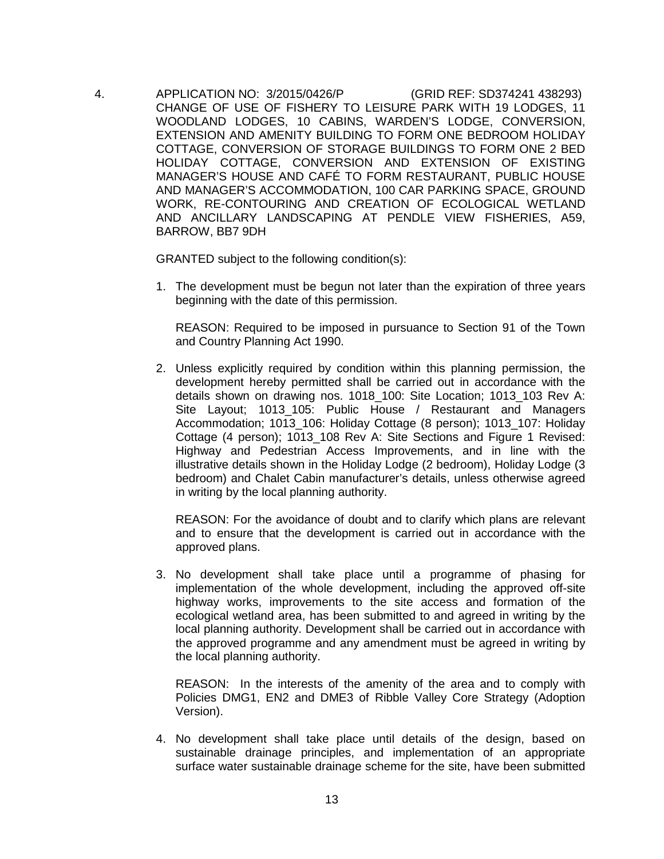4. APPLICATION NO: 3/2015/0426/P (GRID REF: SD374241 438293) CHANGE OF USE OF FISHERY TO LEISURE PARK WITH 19 LODGES, 11 WOODLAND LODGES, 10 CABINS, WARDEN'S LODGE, CONVERSION, EXTENSION AND AMENITY BUILDING TO FORM ONE BEDROOM HOLIDAY COTTAGE, CONVERSION OF STORAGE BUILDINGS TO FORM ONE 2 BED HOLIDAY COTTAGE, CONVERSION AND EXTENSION OF EXISTING MANAGER'S HOUSE AND CAFÉ TO FORM RESTAURANT, PUBLIC HOUSE AND MANAGER'S ACCOMMODATION, 100 CAR PARKING SPACE, GROUND WORK, RE-CONTOURING AND CREATION OF ECOLOGICAL WETLAND AND ANCILLARY LANDSCAPING AT PENDLE VIEW FISHERIES, A59, BARROW, BB7 9DH

GRANTED subject to the following condition(s):

1. The development must be begun not later than the expiration of three years beginning with the date of this permission.

REASON: Required to be imposed in pursuance to Section 91 of the Town and Country Planning Act 1990.

2. Unless explicitly required by condition within this planning permission, the development hereby permitted shall be carried out in accordance with the details shown on drawing nos. 1018 100: Site Location; 1013 103 Rev A: Site Layout; 1013 105: Public House / Restaurant and Managers Accommodation; 1013\_106: Holiday Cottage (8 person); 1013\_107: Holiday Cottage (4 person); 1013 108 Rev A: Site Sections and Figure 1 Revised: Highway and Pedestrian Access Improvements, and in line with the illustrative details shown in the Holiday Lodge (2 bedroom), Holiday Lodge (3 bedroom) and Chalet Cabin manufacturer's details, unless otherwise agreed in writing by the local planning authority.

REASON: For the avoidance of doubt and to clarify which plans are relevant and to ensure that the development is carried out in accordance with the approved plans.

3. No development shall take place until a programme of phasing for implementation of the whole development, including the approved off-site highway works, improvements to the site access and formation of the ecological wetland area, has been submitted to and agreed in writing by the local planning authority. Development shall be carried out in accordance with the approved programme and any amendment must be agreed in writing by the local planning authority.

REASON: In the interests of the amenity of the area and to comply with Policies DMG1, EN2 and DME3 of Ribble Valley Core Strategy (Adoption Version).

4. No development shall take place until details of the design, based on sustainable drainage principles, and implementation of an appropriate surface water sustainable drainage scheme for the site, have been submitted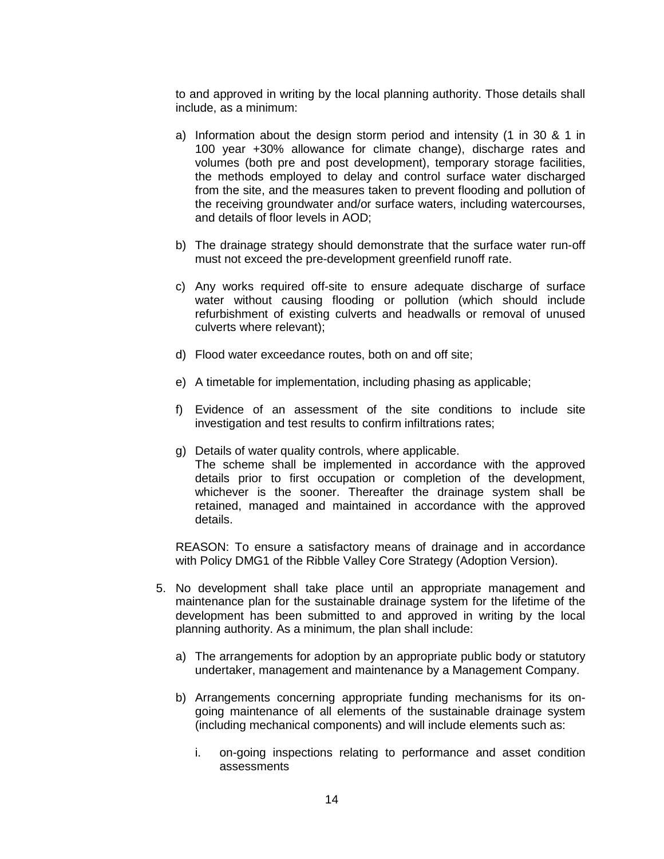to and approved in writing by the local planning authority. Those details shall include, as a minimum:

- a) Information about the design storm period and intensity (1 in 30 & 1 in 100 year +30% allowance for climate change), discharge rates and volumes (both pre and post development), temporary storage facilities, the methods employed to delay and control surface water discharged from the site, and the measures taken to prevent flooding and pollution of the receiving groundwater and/or surface waters, including watercourses, and details of floor levels in AOD;
- b) The drainage strategy should demonstrate that the surface water run-off must not exceed the pre-development greenfield runoff rate.
- c) Any works required off-site to ensure adequate discharge of surface water without causing flooding or pollution (which should include refurbishment of existing culverts and headwalls or removal of unused culverts where relevant);
- d) Flood water exceedance routes, both on and off site;
- e) A timetable for implementation, including phasing as applicable;
- f) Evidence of an assessment of the site conditions to include site investigation and test results to confirm infiltrations rates;
- g) Details of water quality controls, where applicable. The scheme shall be implemented in accordance with the approved details prior to first occupation or completion of the development, whichever is the sooner. Thereafter the drainage system shall be retained, managed and maintained in accordance with the approved details.

REASON: To ensure a satisfactory means of drainage and in accordance with Policy DMG1 of the Ribble Valley Core Strategy (Adoption Version).

- 5. No development shall take place until an appropriate management and maintenance plan for the sustainable drainage system for the lifetime of the development has been submitted to and approved in writing by the local planning authority. As a minimum, the plan shall include:
	- a) The arrangements for adoption by an appropriate public body or statutory undertaker, management and maintenance by a Management Company.
	- b) Arrangements concerning appropriate funding mechanisms for its ongoing maintenance of all elements of the sustainable drainage system (including mechanical components) and will include elements such as:
		- i. on-going inspections relating to performance and asset condition assessments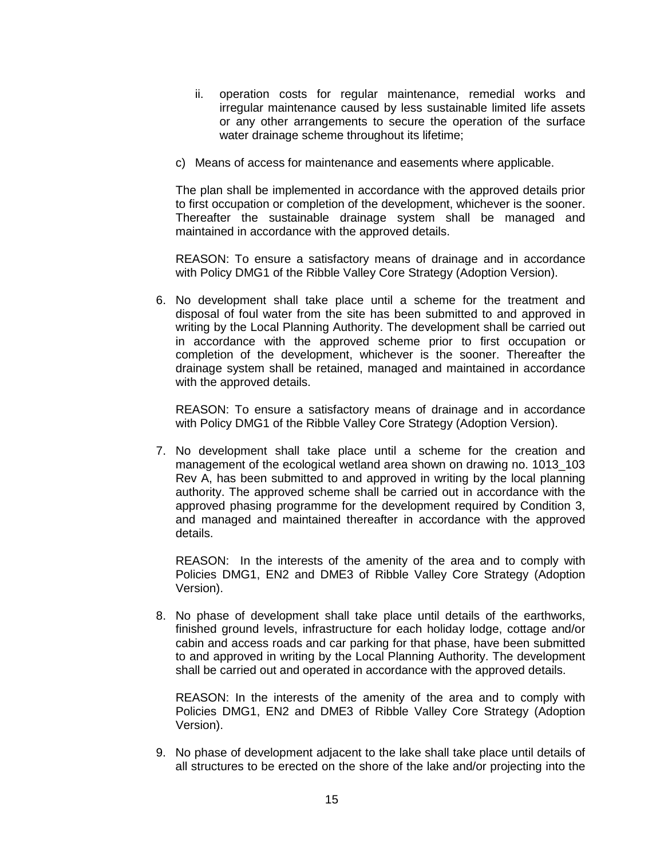- ii. operation costs for regular maintenance, remedial works and irregular maintenance caused by less sustainable limited life assets or any other arrangements to secure the operation of the surface water drainage scheme throughout its lifetime;
- c) Means of access for maintenance and easements where applicable.

The plan shall be implemented in accordance with the approved details prior to first occupation or completion of the development, whichever is the sooner. Thereafter the sustainable drainage system shall be managed and maintained in accordance with the approved details.

REASON: To ensure a satisfactory means of drainage and in accordance with Policy DMG1 of the Ribble Valley Core Strategy (Adoption Version).

6. No development shall take place until a scheme for the treatment and disposal of foul water from the site has been submitted to and approved in writing by the Local Planning Authority. The development shall be carried out in accordance with the approved scheme prior to first occupation or completion of the development, whichever is the sooner. Thereafter the drainage system shall be retained, managed and maintained in accordance with the approved details.

REASON: To ensure a satisfactory means of drainage and in accordance with Policy DMG1 of the Ribble Valley Core Strategy (Adoption Version).

7. No development shall take place until a scheme for the creation and management of the ecological wetland area shown on drawing no. 1013\_103 Rev A, has been submitted to and approved in writing by the local planning authority. The approved scheme shall be carried out in accordance with the approved phasing programme for the development required by Condition 3, and managed and maintained thereafter in accordance with the approved details.

REASON: In the interests of the amenity of the area and to comply with Policies DMG1, EN2 and DME3 of Ribble Valley Core Strategy (Adoption Version).

8. No phase of development shall take place until details of the earthworks, finished ground levels, infrastructure for each holiday lodge, cottage and/or cabin and access roads and car parking for that phase, have been submitted to and approved in writing by the Local Planning Authority. The development shall be carried out and operated in accordance with the approved details.

REASON: In the interests of the amenity of the area and to comply with Policies DMG1, EN2 and DME3 of Ribble Valley Core Strategy (Adoption Version).

9. No phase of development adjacent to the lake shall take place until details of all structures to be erected on the shore of the lake and/or projecting into the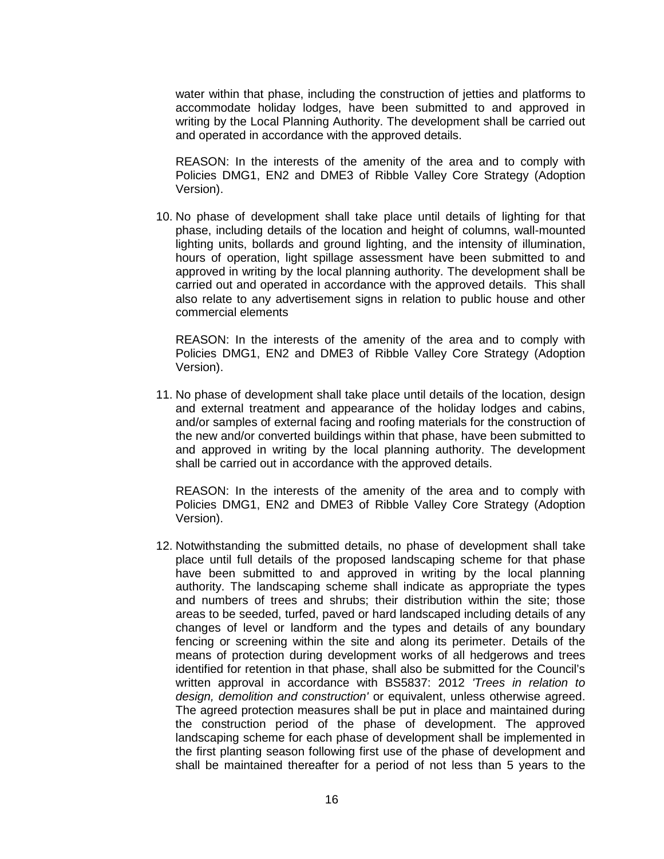water within that phase, including the construction of jetties and platforms to accommodate holiday lodges, have been submitted to and approved in writing by the Local Planning Authority. The development shall be carried out and operated in accordance with the approved details.

REASON: In the interests of the amenity of the area and to comply with Policies DMG1, EN2 and DME3 of Ribble Valley Core Strategy (Adoption Version).

10. No phase of development shall take place until details of lighting for that phase, including details of the location and height of columns, wall-mounted lighting units, bollards and ground lighting, and the intensity of illumination, hours of operation, light spillage assessment have been submitted to and approved in writing by the local planning authority. The development shall be carried out and operated in accordance with the approved details. This shall also relate to any advertisement signs in relation to public house and other commercial elements

REASON: In the interests of the amenity of the area and to comply with Policies DMG1, EN2 and DME3 of Ribble Valley Core Strategy (Adoption Version).

11. No phase of development shall take place until details of the location, design and external treatment and appearance of the holiday lodges and cabins, and/or samples of external facing and roofing materials for the construction of the new and/or converted buildings within that phase, have been submitted to and approved in writing by the local planning authority. The development shall be carried out in accordance with the approved details.

REASON: In the interests of the amenity of the area and to comply with Policies DMG1, EN2 and DME3 of Ribble Valley Core Strategy (Adoption Version).

12. Notwithstanding the submitted details, no phase of development shall take place until full details of the proposed landscaping scheme for that phase have been submitted to and approved in writing by the local planning authority. The landscaping scheme shall indicate as appropriate the types and numbers of trees and shrubs; their distribution within the site; those areas to be seeded, turfed, paved or hard landscaped including details of any changes of level or landform and the types and details of any boundary fencing or screening within the site and along its perimeter. Details of the means of protection during development works of all hedgerows and trees identified for retention in that phase, shall also be submitted for the Council's written approval in accordance with BS5837: 2012 *'Trees in relation to design, demolition and construction'* or equivalent, unless otherwise agreed. The agreed protection measures shall be put in place and maintained during the construction period of the phase of development. The approved landscaping scheme for each phase of development shall be implemented in the first planting season following first use of the phase of development and shall be maintained thereafter for a period of not less than 5 years to the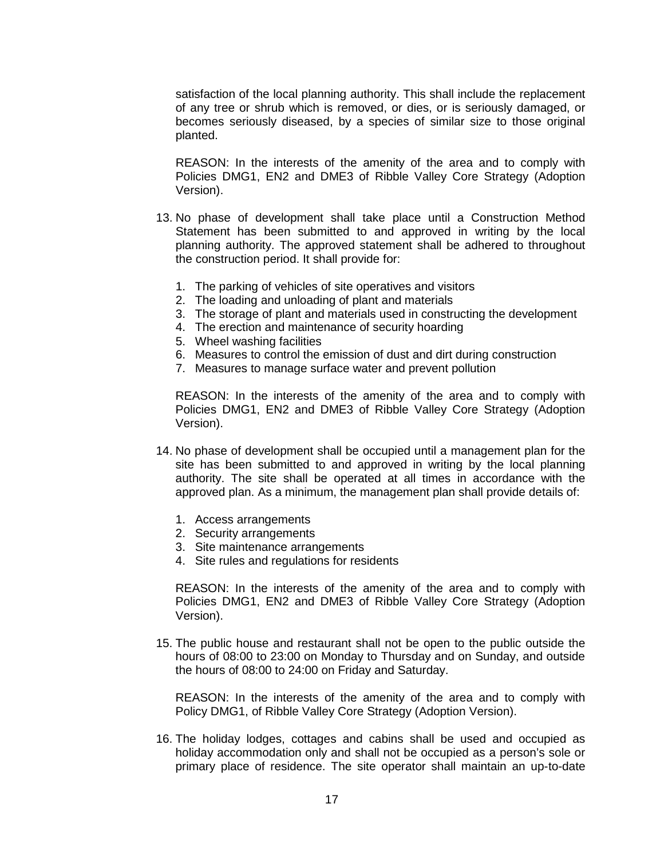satisfaction of the local planning authority. This shall include the replacement of any tree or shrub which is removed, or dies, or is seriously damaged, or becomes seriously diseased, by a species of similar size to those original planted.

REASON: In the interests of the amenity of the area and to comply with Policies DMG1, EN2 and DME3 of Ribble Valley Core Strategy (Adoption Version).

- 13. No phase of development shall take place until a Construction Method Statement has been submitted to and approved in writing by the local planning authority. The approved statement shall be adhered to throughout the construction period. It shall provide for:
	- 1. The parking of vehicles of site operatives and visitors
	- 2. The loading and unloading of plant and materials
	- 3. The storage of plant and materials used in constructing the development
	- 4. The erection and maintenance of security hoarding
	- 5. Wheel washing facilities
	- 6. Measures to control the emission of dust and dirt during construction
	- 7. Measures to manage surface water and prevent pollution

REASON: In the interests of the amenity of the area and to comply with Policies DMG1, EN2 and DME3 of Ribble Valley Core Strategy (Adoption Version).

- 14. No phase of development shall be occupied until a management plan for the site has been submitted to and approved in writing by the local planning authority. The site shall be operated at all times in accordance with the approved plan. As a minimum, the management plan shall provide details of:
	- 1. Access arrangements
	- 2. Security arrangements
	- 3. Site maintenance arrangements
	- 4. Site rules and regulations for residents

REASON: In the interests of the amenity of the area and to comply with Policies DMG1, EN2 and DME3 of Ribble Valley Core Strategy (Adoption Version).

15. The public house and restaurant shall not be open to the public outside the hours of 08:00 to 23:00 on Monday to Thursday and on Sunday, and outside the hours of 08:00 to 24:00 on Friday and Saturday.

REASON: In the interests of the amenity of the area and to comply with Policy DMG1, of Ribble Valley Core Strategy (Adoption Version).

16. The holiday lodges, cottages and cabins shall be used and occupied as holiday accommodation only and shall not be occupied as a person's sole or primary place of residence. The site operator shall maintain an up-to-date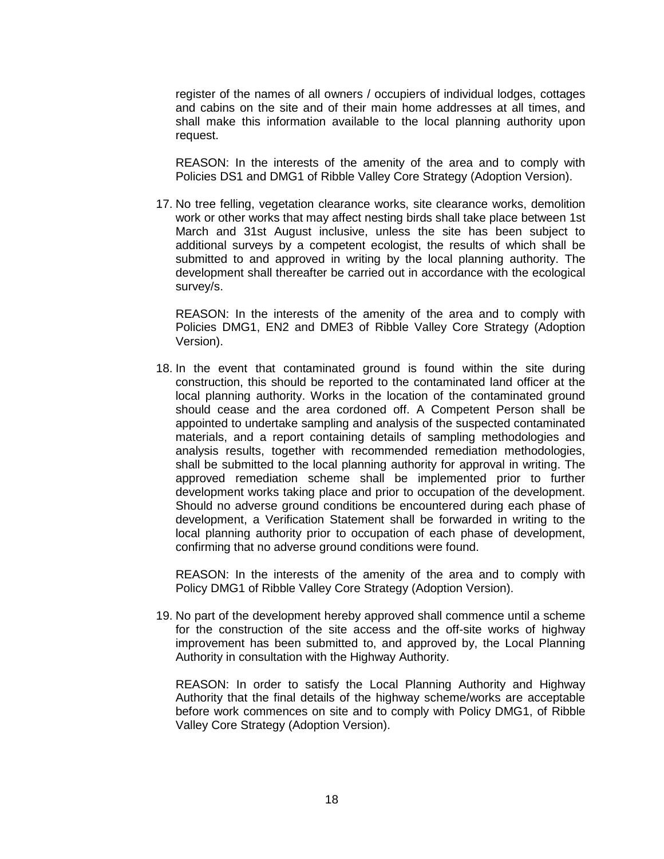register of the names of all owners / occupiers of individual lodges, cottages and cabins on the site and of their main home addresses at all times, and shall make this information available to the local planning authority upon request.

REASON: In the interests of the amenity of the area and to comply with Policies DS1 and DMG1 of Ribble Valley Core Strategy (Adoption Version).

17. No tree felling, vegetation clearance works, site clearance works, demolition work or other works that may affect nesting birds shall take place between 1st March and 31st August inclusive, unless the site has been subject to additional surveys by a competent ecologist, the results of which shall be submitted to and approved in writing by the local planning authority. The development shall thereafter be carried out in accordance with the ecological survey/s.

REASON: In the interests of the amenity of the area and to comply with Policies DMG1, EN2 and DME3 of Ribble Valley Core Strategy (Adoption Version).

18. In the event that contaminated ground is found within the site during construction, this should be reported to the contaminated land officer at the local planning authority. Works in the location of the contaminated ground should cease and the area cordoned off. A Competent Person shall be appointed to undertake sampling and analysis of the suspected contaminated materials, and a report containing details of sampling methodologies and analysis results, together with recommended remediation methodologies, shall be submitted to the local planning authority for approval in writing. The approved remediation scheme shall be implemented prior to further development works taking place and prior to occupation of the development. Should no adverse ground conditions be encountered during each phase of development, a Verification Statement shall be forwarded in writing to the local planning authority prior to occupation of each phase of development, confirming that no adverse ground conditions were found.

REASON: In the interests of the amenity of the area and to comply with Policy DMG1 of Ribble Valley Core Strategy (Adoption Version).

19. No part of the development hereby approved shall commence until a scheme for the construction of the site access and the off-site works of highway improvement has been submitted to, and approved by, the Local Planning Authority in consultation with the Highway Authority.

REASON: In order to satisfy the Local Planning Authority and Highway Authority that the final details of the highway scheme/works are acceptable before work commences on site and to comply with Policy DMG1, of Ribble Valley Core Strategy (Adoption Version).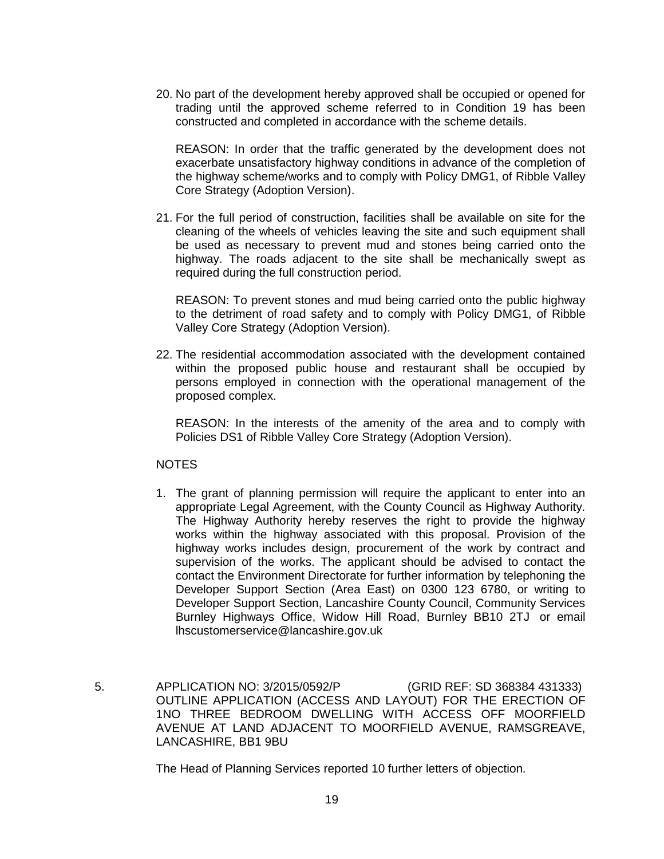20. No part of the development hereby approved shall be occupied or opened for trading until the approved scheme referred to in Condition 19 has been constructed and completed in accordance with the scheme details.

REASON: In order that the traffic generated by the development does not exacerbate unsatisfactory highway conditions in advance of the completion of the highway scheme/works and to comply with Policy DMG1, of Ribble Valley Core Strategy (Adoption Version).

21. For the full period of construction, facilities shall be available on site for the cleaning of the wheels of vehicles leaving the site and such equipment shall be used as necessary to prevent mud and stones being carried onto the highway. The roads adjacent to the site shall be mechanically swept as required during the full construction period.

REASON: To prevent stones and mud being carried onto the public highway to the detriment of road safety and to comply with Policy DMG1, of Ribble Valley Core Strategy (Adoption Version).

22. The residential accommodation associated with the development contained within the proposed public house and restaurant shall be occupied by persons employed in connection with the operational management of the proposed complex.

REASON: In the interests of the amenity of the area and to comply with Policies DS1 of Ribble Valley Core Strategy (Adoption Version).

### **NOTES**

- 1. The grant of planning permission will require the applicant to enter into an appropriate Legal Agreement, with the County Council as Highway Authority. The Highway Authority hereby reserves the right to provide the highway works within the highway associated with this proposal. Provision of the highway works includes design, procurement of the work by contract and supervision of the works. The applicant should be advised to contact the contact the Environment Directorate for further information by telephoning the Developer Support Section (Area East) on 0300 123 6780, or writing to Developer Support Section, Lancashire County Council, Community Services Burnley Highways Office, Widow Hill Road, Burnley BB10 2TJ or email [lhscustomerservice@lancashire.gov.uk](mailto:lhscustomerservice@lancashire.gov.uk)
- 5. APPLICATION NO: 3/2015/0592/P (GRID REF: SD 368384 431333) OUTLINE APPLICATION (ACCESS AND LAYOUT) FOR THE ERECTION OF 1NO THREE BEDROOM DWELLING WITH ACCESS OFF MOORFIELD AVENUE AT LAND ADJACENT TO MOORFIELD AVENUE, RAMSGREAVE, LANCASHIRE, BB1 9BU

The Head of Planning Services reported 10 further letters of objection.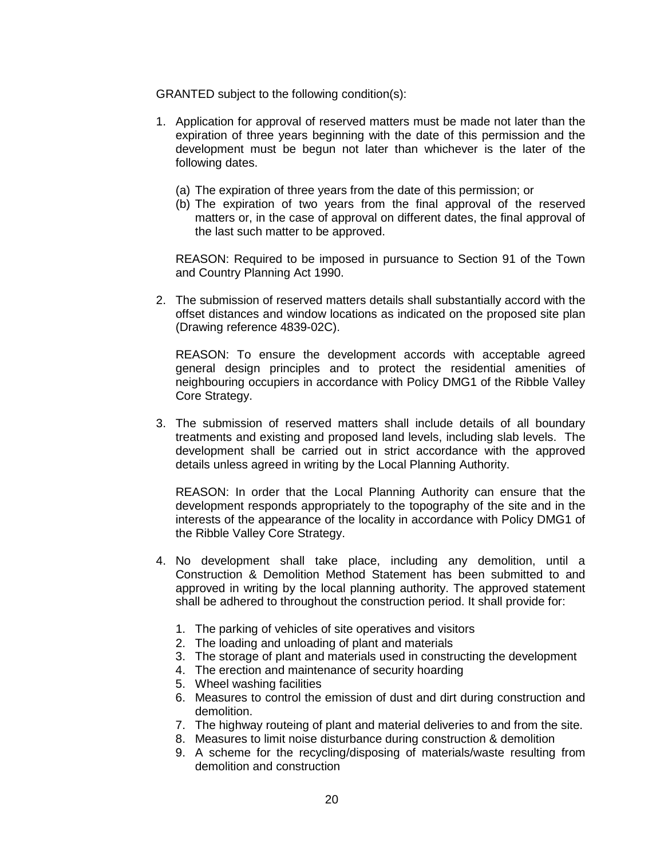GRANTED subject to the following condition(s):

- 1. Application for approval of reserved matters must be made not later than the expiration of three years beginning with the date of this permission and the development must be begun not later than whichever is the later of the following dates.
	- (a) The expiration of three years from the date of this permission; or
	- (b) The expiration of two years from the final approval of the reserved matters or, in the case of approval on different dates, the final approval of the last such matter to be approved.

REASON: Required to be imposed in pursuance to Section 91 of the Town and Country Planning Act 1990.

2. The submission of reserved matters details shall substantially accord with the offset distances and window locations as indicated on the proposed site plan (Drawing reference 4839-02C).

REASON: To ensure the development accords with acceptable agreed general design principles and to protect the residential amenities of neighbouring occupiers in accordance with Policy DMG1 of the Ribble Valley Core Strategy.

3. The submission of reserved matters shall include details of all boundary treatments and existing and proposed land levels, including slab levels. The development shall be carried out in strict accordance with the approved details unless agreed in writing by the Local Planning Authority.

REASON: In order that the Local Planning Authority can ensure that the development responds appropriately to the topography of the site and in the interests of the appearance of the locality in accordance with Policy DMG1 of the Ribble Valley Core Strategy.

- 4. No development shall take place, including any demolition, until a Construction & Demolition Method Statement has been submitted to and approved in writing by the local planning authority. The approved statement shall be adhered to throughout the construction period. It shall provide for:
	- 1. The parking of vehicles of site operatives and visitors
	- 2. The loading and unloading of plant and materials
	- 3. The storage of plant and materials used in constructing the development
	- 4. The erection and maintenance of security hoarding
	- 5. Wheel washing facilities
	- 6. Measures to control the emission of dust and dirt during construction and demolition.
	- 7. The highway routeing of plant and material deliveries to and from the site.
	- 8. Measures to limit noise disturbance during construction & demolition
	- 9. A scheme for the recycling/disposing of materials/waste resulting from demolition and construction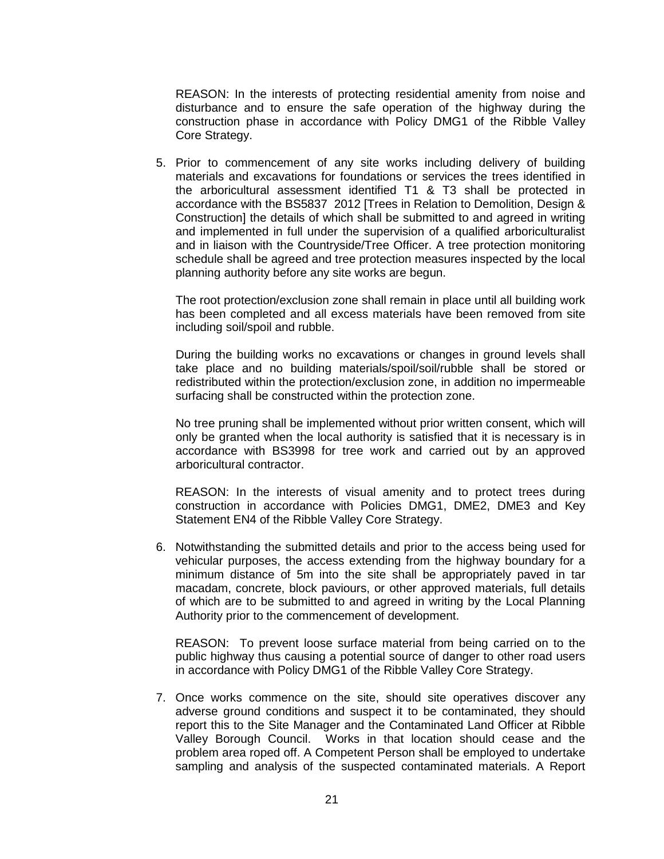REASON: In the interests of protecting residential amenity from noise and disturbance and to ensure the safe operation of the highway during the construction phase in accordance with Policy DMG1 of the Ribble Valley Core Strategy.

5. Prior to commencement of any site works including delivery of building materials and excavations for foundations or services the trees identified in the arboricultural assessment identified T1 & T3 shall be protected in accordance with the BS5837 2012 [Trees in Relation to Demolition, Design & Construction] the details of which shall be submitted to and agreed in writing and implemented in full under the supervision of a qualified arboriculturalist and in liaison with the Countryside/Tree Officer. A tree protection monitoring schedule shall be agreed and tree protection measures inspected by the local planning authority before any site works are begun.

The root protection/exclusion zone shall remain in place until all building work has been completed and all excess materials have been removed from site including soil/spoil and rubble.

During the building works no excavations or changes in ground levels shall take place and no building materials/spoil/soil/rubble shall be stored or redistributed within the protection/exclusion zone, in addition no impermeable surfacing shall be constructed within the protection zone.

No tree pruning shall be implemented without prior written consent, which will only be granted when the local authority is satisfied that it is necessary is in accordance with BS3998 for tree work and carried out by an approved arboricultural contractor.

REASON: In the interests of visual amenity and to protect trees during construction in accordance with Policies DMG1, DME2, DME3 and Key Statement EN4 of the Ribble Valley Core Strategy.

6. Notwithstanding the submitted details and prior to the access being used for vehicular purposes, the access extending from the highway boundary for a minimum distance of 5m into the site shall be appropriately paved in tar macadam, concrete, block paviours, or other approved materials, full details of which are to be submitted to and agreed in writing by the Local Planning Authority prior to the commencement of development.

REASON: To prevent loose surface material from being carried on to the public highway thus causing a potential source of danger to other road users in accordance with Policy DMG1 of the Ribble Valley Core Strategy.

7. Once works commence on the site, should site operatives discover any adverse ground conditions and suspect it to be contaminated, they should report this to the Site Manager and the Contaminated Land Officer at Ribble Valley Borough Council. Works in that location should cease and the problem area roped off. A Competent Person shall be employed to undertake sampling and analysis of the suspected contaminated materials. A Report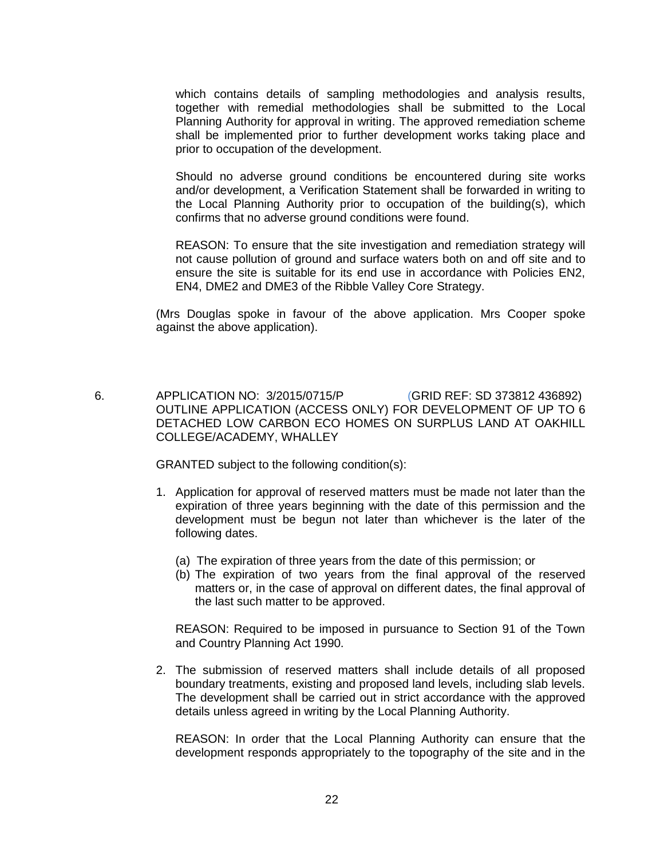which contains details of sampling methodologies and analysis results, together with remedial methodologies shall be submitted to the Local Planning Authority for approval in writing. The approved remediation scheme shall be implemented prior to further development works taking place and prior to occupation of the development.

Should no adverse ground conditions be encountered during site works and/or development, a Verification Statement shall be forwarded in writing to the Local Planning Authority prior to occupation of the building(s), which confirms that no adverse ground conditions were found.

REASON: To ensure that the site investigation and remediation strategy will not cause pollution of ground and surface waters both on and off site and to ensure the site is suitable for its end use in accordance with Policies EN2, EN4, DME2 and DME3 of the Ribble Valley Core Strategy.

(Mrs Douglas spoke in favour of the above application. Mrs Cooper spoke against the above application).

 6. APPLICATION NO: 3/2015/0715/P (GRID REF: SD 373812 436892) OUTLINE APPLICATION (ACCESS ONLY) FOR DEVELOPMENT OF UP TO 6 DETACHED LOW CARBON ECO HOMES ON SURPLUS LAND AT OAKHILL COLLEGE/ACADEMY, WHALLEY

GRANTED subject to the following condition(s):

- 1. Application for approval of reserved matters must be made not later than the expiration of three years beginning with the date of this permission and the development must be begun not later than whichever is the later of the following dates.
	- (a) The expiration of three years from the date of this permission; or
	- (b) The expiration of two years from the final approval of the reserved matters or, in the case of approval on different dates, the final approval of the last such matter to be approved.

REASON: Required to be imposed in pursuance to Section 91 of the Town and Country Planning Act 1990.

2. The submission of reserved matters shall include details of all proposed boundary treatments, existing and proposed land levels, including slab levels. The development shall be carried out in strict accordance with the approved details unless agreed in writing by the Local Planning Authority.

REASON: In order that the Local Planning Authority can ensure that the development responds appropriately to the topography of the site and in the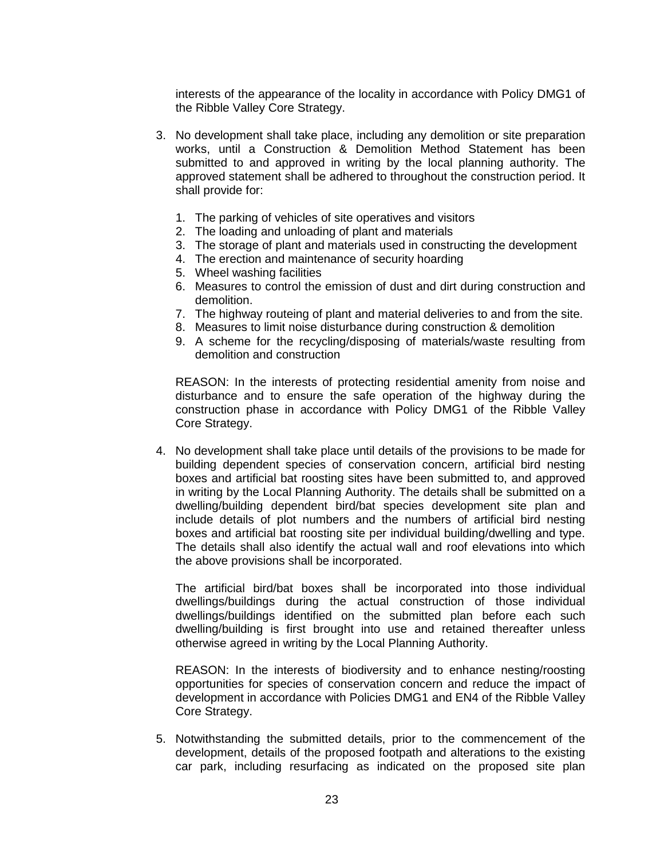interests of the appearance of the locality in accordance with Policy DMG1 of the Ribble Valley Core Strategy.

- 3. No development shall take place, including any demolition or site preparation works, until a Construction & Demolition Method Statement has been submitted to and approved in writing by the local planning authority. The approved statement shall be adhered to throughout the construction period. It shall provide for:
	- 1. The parking of vehicles of site operatives and visitors
	- 2. The loading and unloading of plant and materials
	- 3. The storage of plant and materials used in constructing the development
	- 4. The erection and maintenance of security hoarding
	- 5. Wheel washing facilities
	- 6. Measures to control the emission of dust and dirt during construction and demolition.
	- 7. The highway routeing of plant and material deliveries to and from the site.
	- 8. Measures to limit noise disturbance during construction & demolition
	- 9. A scheme for the recycling/disposing of materials/waste resulting from demolition and construction

REASON: In the interests of protecting residential amenity from noise and disturbance and to ensure the safe operation of the highway during the construction phase in accordance with Policy DMG1 of the Ribble Valley Core Strategy.

4. No development shall take place until details of the provisions to be made for building dependent species of conservation concern, artificial bird nesting boxes and artificial bat roosting sites have been submitted to, and approved in writing by the Local Planning Authority. The details shall be submitted on a dwelling/building dependent bird/bat species development site plan and include details of plot numbers and the numbers of artificial bird nesting boxes and artificial bat roosting site per individual building/dwelling and type. The details shall also identify the actual wall and roof elevations into which the above provisions shall be incorporated.

The artificial bird/bat boxes shall be incorporated into those individual dwellings/buildings during the actual construction of those individual dwellings/buildings identified on the submitted plan before each such dwelling/building is first brought into use and retained thereafter unless otherwise agreed in writing by the Local Planning Authority.

REASON: In the interests of biodiversity and to enhance nesting/roosting opportunities for species of conservation concern and reduce the impact of development in accordance with Policies DMG1 and EN4 of the Ribble Valley Core Strategy.

5. Notwithstanding the submitted details, prior to the commencement of the development, details of the proposed footpath and alterations to the existing car park, including resurfacing as indicated on the proposed site plan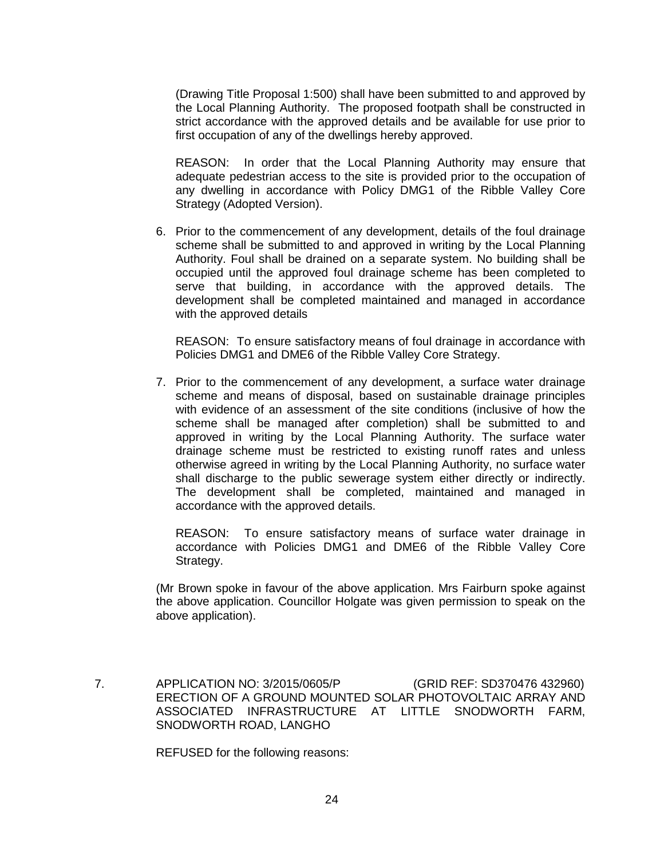(Drawing Title Proposal 1:500) shall have been submitted to and approved by the Local Planning Authority. The proposed footpath shall be constructed in strict accordance with the approved details and be available for use prior to first occupation of any of the dwellings hereby approved.

REASON: In order that the Local Planning Authority may ensure that adequate pedestrian access to the site is provided prior to the occupation of any dwelling in accordance with Policy DMG1 of the Ribble Valley Core Strategy (Adopted Version).

6. Prior to the commencement of any development, details of the foul drainage scheme shall be submitted to and approved in writing by the Local Planning Authority. Foul shall be drained on a separate system. No building shall be occupied until the approved foul drainage scheme has been completed to serve that building, in accordance with the approved details. The development shall be completed maintained and managed in accordance with the approved details

REASON: To ensure satisfactory means of foul drainage in accordance with Policies DMG1 and DME6 of the Ribble Valley Core Strategy.

7. Prior to the commencement of any development, a surface water drainage scheme and means of disposal, based on sustainable drainage principles with evidence of an assessment of the site conditions (inclusive of how the scheme shall be managed after completion) shall be submitted to and approved in writing by the Local Planning Authority. The surface water drainage scheme must be restricted to existing runoff rates and unless otherwise agreed in writing by the Local Planning Authority, no surface water shall discharge to the public sewerage system either directly or indirectly. The development shall be completed, maintained and managed in accordance with the approved details.

REASON: To ensure satisfactory means of surface water drainage in accordance with Policies DMG1 and DME6 of the Ribble Valley Core Strategy.

(Mr Brown spoke in favour of the above application. Mrs Fairburn spoke against the above application. Councillor Holgate was given permission to speak on the above application).

 7. APPLICATION NO: 3/2015/0605/P (GRID REF: SD370476 432960) ERECTION OF A GROUND MOUNTED SOLAR PHOTOVOLTAIC ARRAY AND ASSOCIATED INFRASTRUCTURE AT LITTLE SNODWORTH FARM, SNODWORTH ROAD, LANGHO

REFUSED for the following reasons: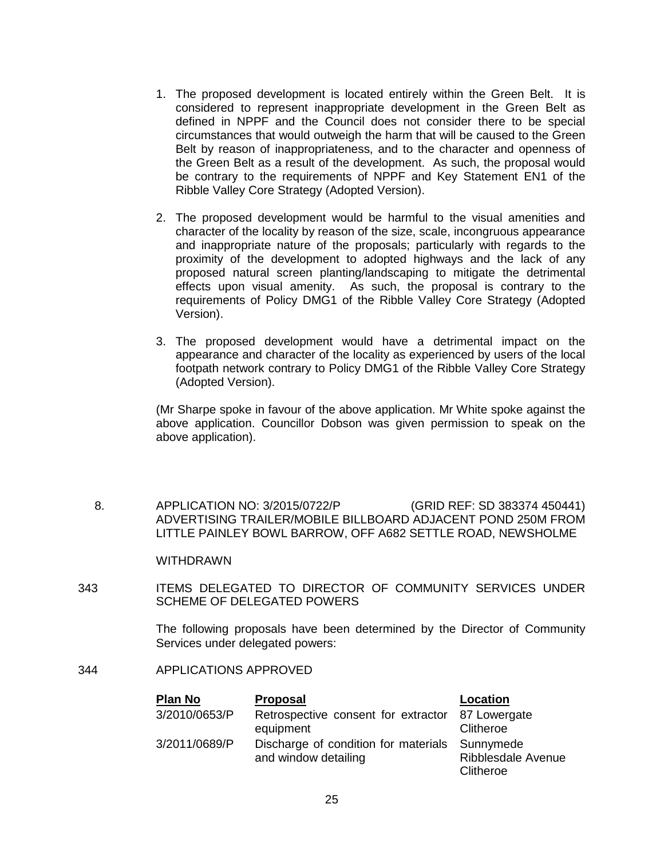- 1. The proposed development is located entirely within the Green Belt. It is considered to represent inappropriate development in the Green Belt as defined in NPPF and the Council does not consider there to be special circumstances that would outweigh the harm that will be caused to the Green Belt by reason of inappropriateness, and to the character and openness of the Green Belt as a result of the development. As such, the proposal would be contrary to the requirements of NPPF and Key Statement EN1 of the Ribble Valley Core Strategy (Adopted Version).
- 2. The proposed development would be harmful to the visual amenities and character of the locality by reason of the size, scale, incongruous appearance and inappropriate nature of the proposals; particularly with regards to the proximity of the development to adopted highways and the lack of any proposed natural screen planting/landscaping to mitigate the detrimental effects upon visual amenity. As such, the proposal is contrary to the requirements of Policy DMG1 of the Ribble Valley Core Strategy (Adopted Version).
- 3. The proposed development would have a detrimental impact on the appearance and character of the locality as experienced by users of the local footpath network contrary to Policy DMG1 of the Ribble Valley Core Strategy (Adopted Version).

(Mr Sharpe spoke in favour of the above application. Mr White spoke against the above application. Councillor Dobson was given permission to speak on the above application).

 8. APPLICATION NO: 3/2015/0722/P (GRID REF: SD 383374 450441) ADVERTISING TRAILER/MOBILE BILLBOARD ADJACENT POND 250M FROM LITTLE PAINLEY BOWL BARROW, OFF A682 SETTLE ROAD, NEWSHOLME

#### WITHDRAWN

343 ITEMS DELEGATED TO DIRECTOR OF COMMUNITY SERVICES UNDER SCHEME OF DELEGATED POWERS

> The following proposals have been determined by the Director of Community Services under delegated powers:

## 344 APPLICATIONS APPROVED

| <b>Plan No</b> | <b>Proposal</b>                                                        | Location                               |
|----------------|------------------------------------------------------------------------|----------------------------------------|
| 3/2010/0653/P  | Retrospective consent for extractor 87 Lowergate<br>equipment          | Clitheroe                              |
| 3/2011/0689/P  | Discharge of condition for materials Sunnymede<br>and window detailing | <b>Ribblesdale Avenue</b><br>Clitheroe |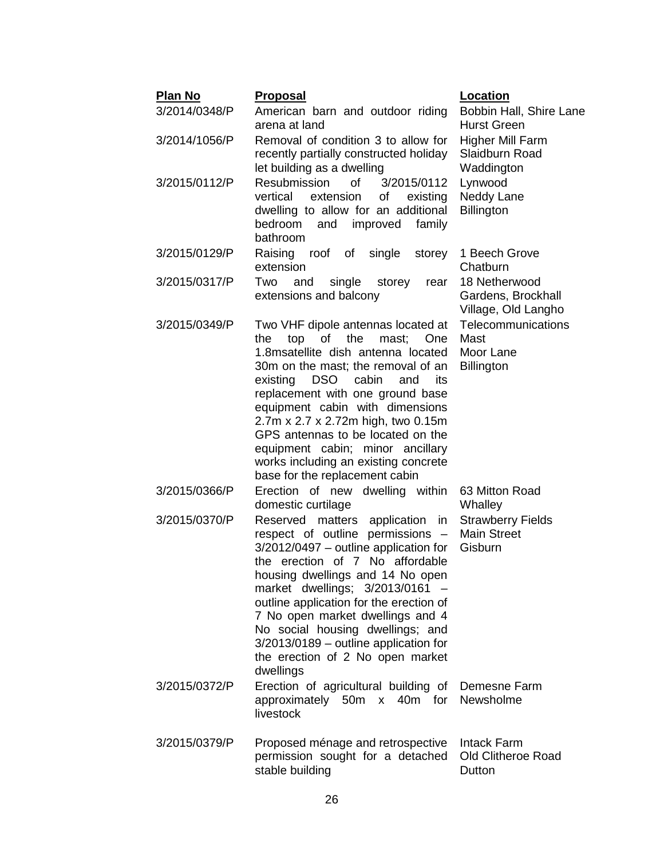| <b>Plan No</b> | <b>Proposal</b>                                                                                                                                                                                                                                                                                                                                                                                                                                                   | <b>Location</b>                                              |
|----------------|-------------------------------------------------------------------------------------------------------------------------------------------------------------------------------------------------------------------------------------------------------------------------------------------------------------------------------------------------------------------------------------------------------------------------------------------------------------------|--------------------------------------------------------------|
| 3/2014/0348/P  | American barn and outdoor riding<br>arena at land                                                                                                                                                                                                                                                                                                                                                                                                                 | Bobbin Hall, Shire Lane<br><b>Hurst Green</b>                |
| 3/2014/1056/P  | Removal of condition 3 to allow for<br>recently partially constructed holiday<br>let building as a dwelling                                                                                                                                                                                                                                                                                                                                                       | <b>Higher Mill Farm</b><br>Slaidburn Road<br>Waddington      |
| 3/2015/0112/P  | <b>Resubmission</b><br><b>of</b><br>3/2015/0112<br>extension<br>vertical<br>of<br>existing<br>dwelling to allow for an additional<br>bedroom<br>and improved<br>family<br>bathroom                                                                                                                                                                                                                                                                                | Lynwood<br>Neddy Lane<br><b>Billington</b>                   |
| 3/2015/0129/P  | Raising<br>roof<br>of single<br>storey<br>extension                                                                                                                                                                                                                                                                                                                                                                                                               | 1 Beech Grove<br>Chatburn                                    |
| 3/2015/0317/P  | and<br>single<br>Two<br>storey<br>rear<br>extensions and balcony                                                                                                                                                                                                                                                                                                                                                                                                  | 18 Netherwood<br>Gardens, Brockhall<br>Village, Old Langho   |
| 3/2015/0349/P  | Two VHF dipole antennas located at<br>of<br>the<br>the<br>top<br>mast:<br>One<br>1.8 msatellite dish antenna located<br>30m on the mast; the removal of an<br>DSO cabin<br>existing<br>and<br>its<br>replacement with one ground base<br>equipment cabin with dimensions<br>2.7m x 2.7 x 2.72m high, two 0.15m<br>GPS antennas to be located on the<br>equipment cabin; minor ancillary<br>works including an existing concrete<br>base for the replacement cabin | Telecommunications<br>Mast<br>Moor Lane<br><b>Billington</b> |
| 3/2015/0366/P  | Erection of new dwelling within<br>domestic curtilage                                                                                                                                                                                                                                                                                                                                                                                                             | 63 Mitton Road<br>Whalley                                    |
| 3/2015/0370/P  | Reserved<br>matters application<br>in<br>respect of outline permissions -<br>$3/2012/0497$ – outline application for<br>the erection of 7 No affordable<br>housing dwellings and 14 No open<br>market dwellings; 3/2013/0161<br>outline application for the erection of<br>7 No open market dwellings and 4<br>No social housing dwellings; and<br>$3/2013/0189$ – outline application for<br>the erection of 2 No open market<br>dwellings                       | <b>Strawberry Fields</b><br><b>Main Street</b><br>Gisburn    |
| 3/2015/0372/P  | Erection of agricultural building of<br>approximately 50m x 40m for<br>livestock                                                                                                                                                                                                                                                                                                                                                                                  | Demesne Farm<br>Newsholme                                    |
| 3/2015/0379/P  | Proposed ménage and retrospective<br>permission sought for a detached<br>stable building                                                                                                                                                                                                                                                                                                                                                                          | <b>Intack Farm</b><br><b>Old Clitheroe Road</b><br>Dutton    |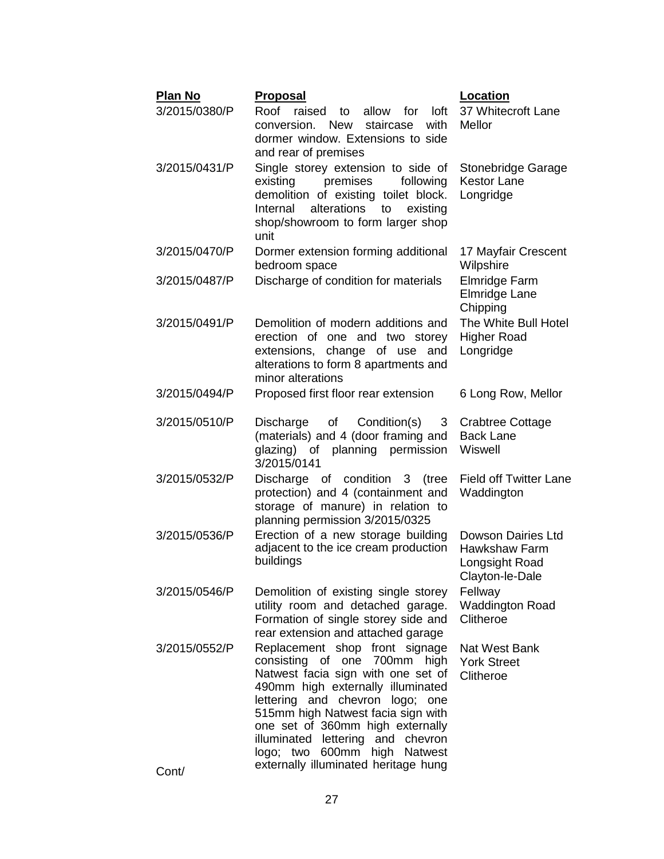| <b>Plan No</b>         | <b>Proposal</b>                                                                                                                                                                                                                                                                                                                                                     | Location                                                                        |
|------------------------|---------------------------------------------------------------------------------------------------------------------------------------------------------------------------------------------------------------------------------------------------------------------------------------------------------------------------------------------------------------------|---------------------------------------------------------------------------------|
| 3/2015/0380/P          | Roof<br>raised<br>allow<br>loft<br>to<br>for<br>conversion.<br><b>New</b><br>staircase<br>with<br>dormer window. Extensions to side<br>and rear of premises                                                                                                                                                                                                         | 37 Whitecroft Lane<br>Mellor                                                    |
| 3/2015/0431/P          | Single storey extension to side of<br>premises<br>existing<br>following<br>demolition of existing toilet block.<br>alterations<br>Internal<br>existing<br>to<br>shop/showroom to form larger shop<br>unit                                                                                                                                                           | Stonebridge Garage<br><b>Kestor Lane</b><br>Longridge                           |
| 3/2015/0470/P          | Dormer extension forming additional<br>bedroom space                                                                                                                                                                                                                                                                                                                | 17 Mayfair Crescent<br>Wilpshire                                                |
| 3/2015/0487/P          | Discharge of condition for materials                                                                                                                                                                                                                                                                                                                                | Elmridge Farm<br>Elmridge Lane<br>Chipping                                      |
| 3/2015/0491/P          | Demolition of modern additions and<br>erection of one and two storey<br>extensions, change of use<br>and<br>alterations to form 8 apartments and<br>minor alterations                                                                                                                                                                                               | The White Bull Hotel<br><b>Higher Road</b><br>Longridge                         |
| 3/2015/0494/P          | Proposed first floor rear extension                                                                                                                                                                                                                                                                                                                                 | 6 Long Row, Mellor                                                              |
| 3/2015/0510/P          | of Condition(s)<br>Discharge<br>3<br>(materials) and 4 (door framing and<br>glazing) of planning permission<br>3/2015/0141                                                                                                                                                                                                                                          | Crabtree Cottage<br><b>Back Lane</b><br>Wiswell                                 |
| 3/2015/0532/P          | Discharge of condition 3 (tree<br>protection) and 4 (containment and<br>storage of manure) in relation to<br>planning permission 3/2015/0325                                                                                                                                                                                                                        | <b>Field off Twitter Lane</b><br>Waddington                                     |
| 3/2015/0536/P          | Erection of a new storage building<br>adjacent to the ice cream production<br>buildings                                                                                                                                                                                                                                                                             | Dowson Dairies Ltd<br><b>Hawkshaw Farm</b><br>Longsight Road<br>Clayton-le-Dale |
| 3/2015/0546/P          | Demolition of existing single storey<br>utility room and detached garage.<br>Formation of single storey side and<br>rear extension and attached garage                                                                                                                                                                                                              | Fellway<br><b>Waddington Road</b><br>Clitheroe                                  |
| 3/2015/0552/P<br>Cont/ | Replacement shop front signage<br>consisting of one 700mm high<br>Natwest facia sign with one set of<br>490mm high externally illuminated<br>lettering and chevron logo; one<br>515mm high Natwest facia sign with<br>one set of 360mm high externally<br>illuminated lettering and chevron<br>logo; two 600mm high Natwest<br>externally illuminated heritage hung | Nat West Bank<br><b>York Street</b><br>Clitheroe                                |
|                        |                                                                                                                                                                                                                                                                                                                                                                     |                                                                                 |

27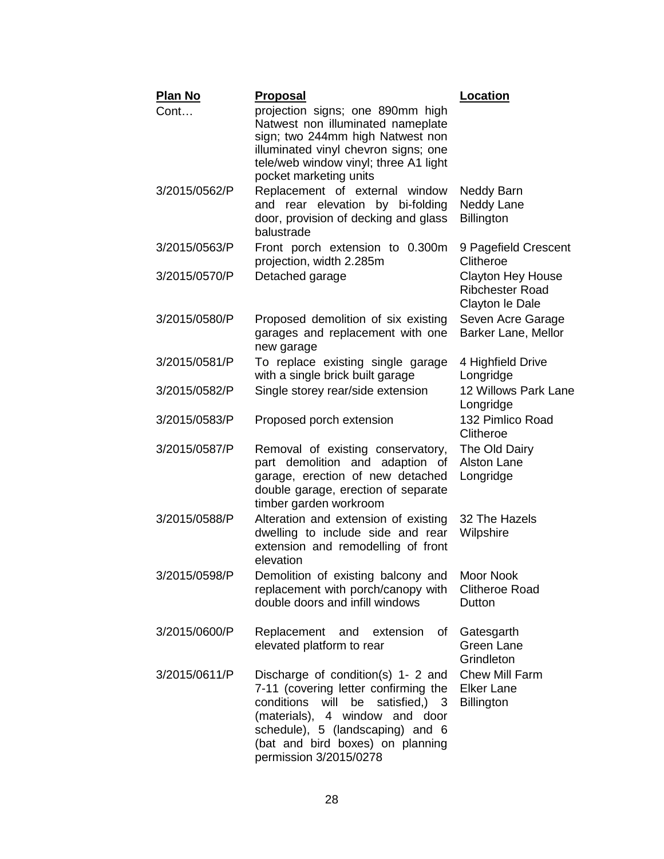| <b>Plan No</b> | <b>Proposal</b>                                                                                                                                                                                                                                             | <b>Location</b>                                                       |
|----------------|-------------------------------------------------------------------------------------------------------------------------------------------------------------------------------------------------------------------------------------------------------------|-----------------------------------------------------------------------|
| Cont           | projection signs; one 890mm high<br>Natwest non illuminated nameplate<br>sign; two 244mm high Natwest non<br>illuminated vinyl chevron signs; one<br>tele/web window vinyl; three A1 light<br>pocket marketing units                                        |                                                                       |
| 3/2015/0562/P  | Replacement of external window<br>and rear elevation by bi-folding<br>door, provision of decking and glass<br>balustrade                                                                                                                                    | Neddy Barn<br>Neddy Lane<br><b>Billington</b>                         |
| 3/2015/0563/P  | Front porch extension to 0.300m<br>projection, width 2.285m                                                                                                                                                                                                 | 9 Pagefield Crescent<br>Clitheroe                                     |
| 3/2015/0570/P  | Detached garage                                                                                                                                                                                                                                             | <b>Clayton Hey House</b><br><b>Ribchester Road</b><br>Clayton le Dale |
| 3/2015/0580/P  | Proposed demolition of six existing<br>garages and replacement with one<br>new garage                                                                                                                                                                       | Seven Acre Garage<br>Barker Lane, Mellor                              |
| 3/2015/0581/P  | To replace existing single garage<br>with a single brick built garage                                                                                                                                                                                       | 4 Highfield Drive<br>Longridge                                        |
| 3/2015/0582/P  | Single storey rear/side extension                                                                                                                                                                                                                           | 12 Willows Park Lane<br>Longridge                                     |
| 3/2015/0583/P  | Proposed porch extension                                                                                                                                                                                                                                    | 132 Pimlico Road<br>Clitheroe                                         |
| 3/2015/0587/P  | Removal of existing conservatory,<br>part demolition and adaption<br>of<br>garage, erection of new detached<br>double garage, erection of separate<br>timber garden workroom                                                                                | The Old Dairy<br><b>Alston Lane</b><br>Longridge                      |
| 3/2015/0588/P  | Alteration and extension of existing<br>dwelling to include side and rear<br>extension and remodelling of front<br>elevation                                                                                                                                | 32 The Hazels<br>Wilpshire                                            |
| 3/2015/0598/P  | Demolition of existing balcony and Moor Nook<br>replacement with porch/canopy with<br>double doors and infill windows                                                                                                                                       | <b>Clitheroe Road</b><br>Dutton                                       |
| 3/2015/0600/P  | Replacement<br>and<br>extension<br>οf<br>elevated platform to rear                                                                                                                                                                                          | Gatesgarth<br><b>Green Lane</b><br>Grindleton                         |
| 3/2015/0611/P  | Discharge of condition(s) 1- 2 and<br>7-11 (covering letter confirming the<br>conditions<br>satisfied.) 3<br>will<br>be<br>(materials), 4 window and door<br>schedule), 5 (landscaping) and 6<br>(bat and bird boxes) on planning<br>permission 3/2015/0278 | <b>Chew Mill Farm</b><br><b>Elker Lane</b><br><b>Billington</b>       |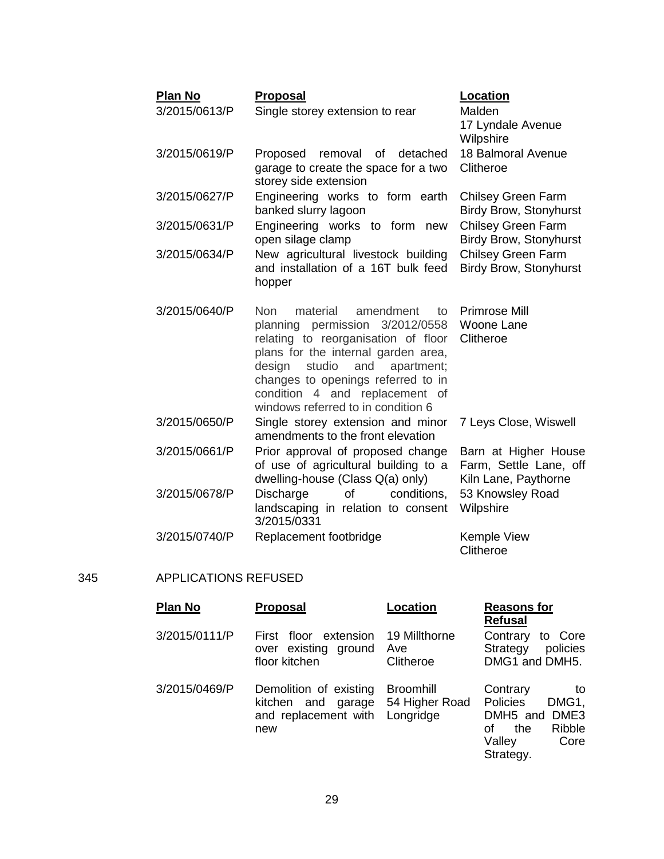| <b>Plan No</b><br>3/2015/0613/P | <b>Proposal</b><br>Single storey extension to rear                                                                                                                                                                                                                                                         | <b>Location</b><br>Malden<br>17 Lyndale Avenue<br>Wilpshire            |
|---------------------------------|------------------------------------------------------------------------------------------------------------------------------------------------------------------------------------------------------------------------------------------------------------------------------------------------------------|------------------------------------------------------------------------|
| 3/2015/0619/P                   | Proposed<br>removal<br>of<br>detached<br>garage to create the space for a two<br>storey side extension                                                                                                                                                                                                     | 18 Balmoral Avenue<br>Clitheroe                                        |
| 3/2015/0627/P                   | Engineering works to form earth<br>banked slurry lagoon                                                                                                                                                                                                                                                    | <b>Chilsey Green Farm</b><br><b>Birdy Brow, Stonyhurst</b>             |
| 3/2015/0631/P                   | Engineering works to form new<br>open silage clamp                                                                                                                                                                                                                                                         | <b>Chilsey Green Farm</b><br><b>Birdy Brow, Stonyhurst</b>             |
| 3/2015/0634/P                   | New agricultural livestock building<br>and installation of a 16T bulk feed<br>hopper                                                                                                                                                                                                                       | <b>Chilsey Green Farm</b><br><b>Birdy Brow, Stonyhurst</b>             |
| 3/2015/0640/P                   | Non<br>material<br>amendment<br>to<br>planning permission 3/2012/0558<br>relating to reorganisation of floor<br>plans for the internal garden area,<br>studio<br>design<br>and<br>apartment;<br>changes to openings referred to in<br>condition 4 and replacement of<br>windows referred to in condition 6 | <b>Primrose Mill</b><br>Woone Lane<br>Clitheroe                        |
| 3/2015/0650/P                   | Single storey extension and minor<br>amendments to the front elevation                                                                                                                                                                                                                                     | 7 Leys Close, Wiswell                                                  |
| 3/2015/0661/P                   | Prior approval of proposed change<br>of use of agricultural building to a<br>dwelling-house (Class Q(a) only)                                                                                                                                                                                              | Barn at Higher House<br>Farm, Settle Lane, off<br>Kiln Lane, Paythorne |
| 3/2015/0678/P                   | <b>Discharge</b><br>of<br>conditions.<br>landscaping in relation to consent<br>3/2015/0331                                                                                                                                                                                                                 | 53 Knowsley Road<br>Wilpshire                                          |
| 3/2015/0740/P                   | Replacement footbridge                                                                                                                                                                                                                                                                                     | Kemple View<br>Clitheroe                                               |

## 345 APPLICATIONS REFUSED

| <b>Plan No</b> | <b>Proposal</b>                                                                | Location                                        | <b>Reasons for</b><br><b>Refusal</b>                                                                       |
|----------------|--------------------------------------------------------------------------------|-------------------------------------------------|------------------------------------------------------------------------------------------------------------|
| 3/2015/0111/P  | First floor extension<br>over existing ground<br>floor kitchen                 | 19 Millthorne<br>Ave<br>Clitheroe               | Contrary<br>to Core<br>policies<br>Strategy<br>DMG1 and DMH5.                                              |
| 3/2015/0469/P  | Demolition of existing<br>kitchen and<br>garage<br>and replacement with<br>new | <b>Broomhill</b><br>54 Higher Road<br>Longridge | Contrary<br>to<br>Policies<br>DMG1,<br>DMH5 and DME3<br>Ribble<br>the<br>Ωf<br>Valley<br>Core<br>Strategy. |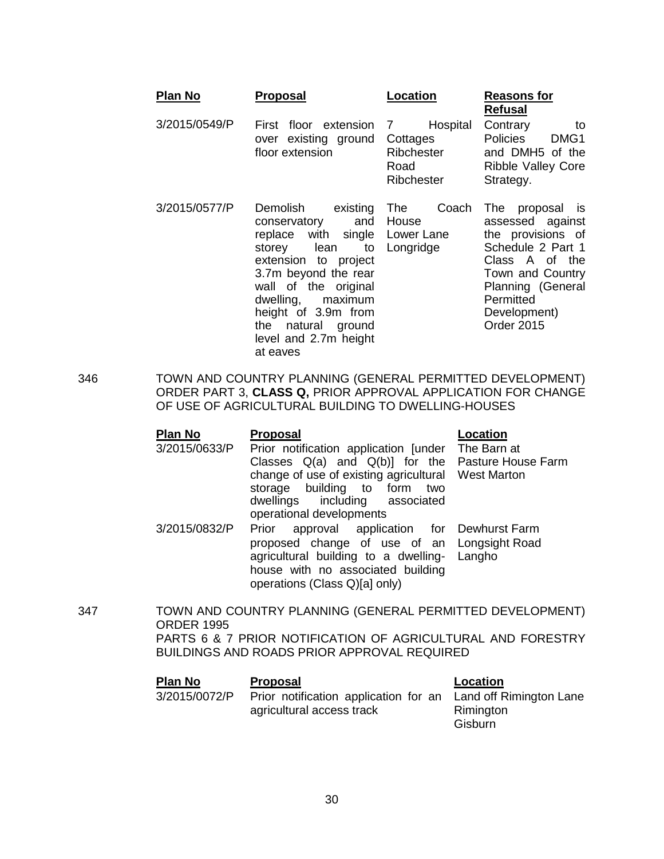| <b>Plan No</b> | <b>Proposal</b>                                                                                                                                                                                                                                                                         | Location                                                      | <b>Reasons for</b><br><b>Refusal</b>                                                                                                                                                          |
|----------------|-----------------------------------------------------------------------------------------------------------------------------------------------------------------------------------------------------------------------------------------------------------------------------------------|---------------------------------------------------------------|-----------------------------------------------------------------------------------------------------------------------------------------------------------------------------------------------|
| 3/2015/0549/P  | First floor extension<br>over existing ground<br>floor extension                                                                                                                                                                                                                        | Hospital<br>7<br>Cottages<br>Ribchester<br>Road<br>Ribchester | Contrary<br>to<br>Policies<br>DMG1<br>and DMH5 of the<br><b>Ribble Valley Core</b><br>Strategy.                                                                                               |
| 3/2015/0577/P  | Demolish<br>existing<br>and<br>conservatory<br>replace with single Lower Lane<br>lean<br>to<br>storey<br>extension to project<br>3.7m beyond the rear<br>wall of the original<br>dwelling, maximum<br>height of 3.9m from<br>the<br>natural ground<br>level and 2.7m height<br>at eaves | Coach<br>The<br>House<br>Longridge                            | proposal is<br>⊤he<br>assessed against<br>the provisions of<br>Schedule 2 Part 1<br>Class A of the<br>Town and Country<br>Planning (General<br>Permitted<br>Development)<br><b>Order 2015</b> |

346 TOWN AND COUNTRY PLANNING (GENERAL PERMITTED DEVELOPMENT) ORDER PART 3, **CLASS Q,** PRIOR APPROVAL APPLICATION FOR CHANGE OF USE OF AGRICULTURAL BUILDING TO DWELLING-HOUSES

| Plan No       | <b>Proposal</b>                                                                                                                                                                                                  | Location |
|---------------|------------------------------------------------------------------------------------------------------------------------------------------------------------------------------------------------------------------|----------|
| 3/2015/0633/P | Prior notification application [under The Barn at                                                                                                                                                                |          |
|               | Classes $Q(a)$ and $Q(b)$ ] for the Pasture House Farm<br>change of use of existing agricultural West Marton<br>storage building to form<br>two<br>dwellings including associated<br>operational developments    |          |
| 3/2015/0832/P | Prior approval application for Dewhurst Farm<br>proposed change of use of an Longsight Road<br>agricultural building to a dwelling- Langho<br>house with no associated building<br>operations (Class Q)[a] only) |          |

347 TOWN AND COUNTRY PLANNING (GENERAL PERMITTED DEVELOPMENT) ORDER 1995 PARTS 6 & 7 PRIOR NOTIFICATION OF AGRICULTURAL AND FORESTRY BUILDINGS AND ROADS PRIOR APPROVAL REQUIRED

| Plan No       | <b>Proposal</b>                                                                            | Location             |
|---------------|--------------------------------------------------------------------------------------------|----------------------|
| 3/2015/0072/P | Prior notification application for an Land off Rimington Lane<br>agricultural access track | Rimington<br>Gisburn |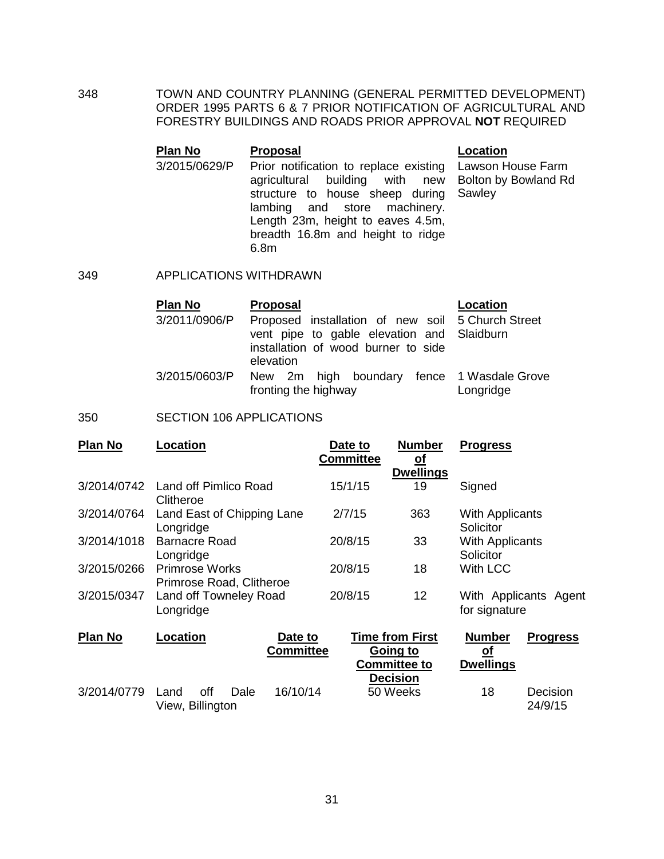348 TOWN AND COUNTRY PLANNING (GENERAL PERMITTED DEVELOPMENT) ORDER 1995 PARTS 6 & 7 PRIOR NOTIFICATION OF AGRICULTURAL AND FORESTRY BUILDINGS AND ROADS PRIOR APPROVAL **NOT** REQUIRED

#### **Plan No Proposal Location** 3/2015/0629/P Prior notification to replace existing Lawson House Farm agricultural building with new Bolton by Bowland Rd structure to house sheep during lambing and store machinery. Length 23m, height to eaves 4.5m, breadth 16.8m and height to ridge 6.8m Sawley

## 349 APPLICATIONS WITHDRAWN

| <b>Plan No</b> | <b>Proposal</b>                                                                                                                                     | Location  |
|----------------|-----------------------------------------------------------------------------------------------------------------------------------------------------|-----------|
| 3/2011/0906/P  | Proposed installation of new soil 5 Church Street<br>vent pipe to gable elevation and Slaidburn<br>installation of wood burner to side<br>elevation |           |
| 3/2015/0603/P  | New 2m high boundary fence 1 Wasdale Grove<br>fronting the highway                                                                                  | Longridge |

## 350 SECTION 106 APPLICATIONS

| <b>Plan No</b> | Location                                          | Date to<br><b>Committee</b> | <b>Number</b><br><u>of</u> | <b>Progress</b>                        |
|----------------|---------------------------------------------------|-----------------------------|----------------------------|----------------------------------------|
| 3/2014/0742    | Land off Pimlico Road<br>Clitheroe                | 15/1/15                     | <b>Dwellings</b><br>19     | Signed                                 |
| 3/2014/0764    | Land East of Chipping Lane<br>Longridge           | 2/7/15                      | 363                        | <b>With Applicants</b><br>Solicitor    |
| 3/2014/1018    | <b>Barnacre Road</b><br>Longridge                 | 20/8/15                     | 33                         | <b>With Applicants</b><br>Solicitor    |
| 3/2015/0266    | <b>Primrose Works</b><br>Primrose Road, Clitheroe | 20/8/15                     | 18                         | <b>With LCC</b>                        |
| 3/2015/0347    | Land off Towneley Road<br>Longridge               | 20/8/15                     | 12                         | With Applicants Agent<br>for signature |
| Plan No        | <b>neation</b><br>nate fo                         |                             | Tima from Firet            | Numhar<br><b>Prograce</b>              |

| <b>Plan No</b> | Location                        |      | Date to<br><b>Committee</b> | <b>Time from First</b><br>Going to<br><b>Committee to</b> | <b>Number</b><br><u>of</u><br><b>Dwellings</b> | <b>Progress</b>     |
|----------------|---------------------------------|------|-----------------------------|-----------------------------------------------------------|------------------------------------------------|---------------------|
| 3/2014/0779    | off<br>Land<br>View, Billington | Dale | 16/10/14                    | <b>Decision</b><br>50 Weeks                               | 18                                             | Decision<br>24/9/15 |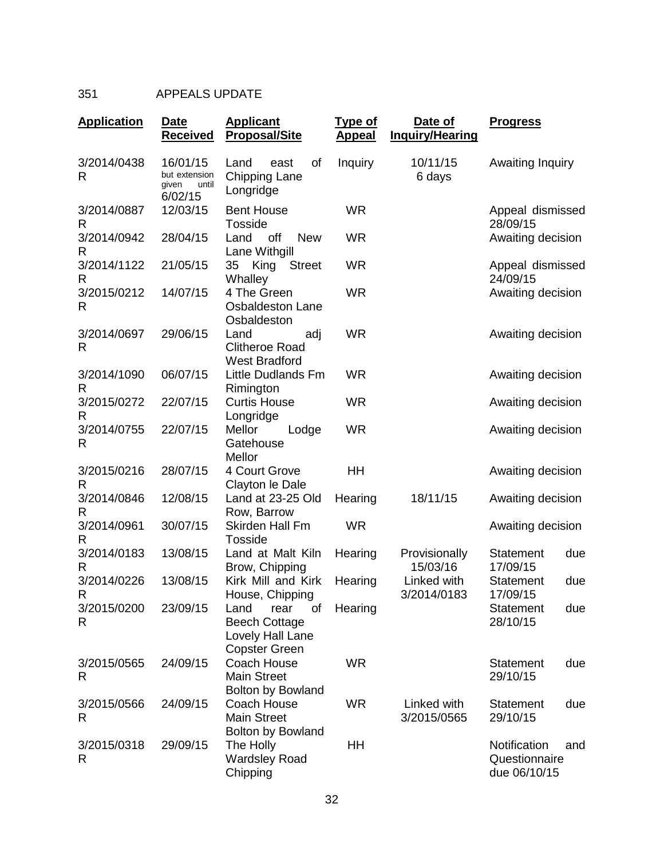## 351 APPEALS UPDATE

| <b>Application</b> | <b>Date</b><br><b>Received</b>                         | <b>Applicant</b><br><b>Proposal/Site</b>                                               | <b>Type of</b><br><b>Appeal</b> | Date of<br><b>Inquiry/Hearing</b> | <b>Progress</b>                                      |
|--------------------|--------------------------------------------------------|----------------------------------------------------------------------------------------|---------------------------------|-----------------------------------|------------------------------------------------------|
| 3/2014/0438<br>R   | 16/01/15<br>but extension<br>given<br>until<br>6/02/15 | Land<br>east<br>οf<br><b>Chipping Lane</b><br>Longridge                                | Inquiry                         | 10/11/15<br>6 days                | Awaiting Inquiry                                     |
| 3/2014/0887<br>R   | 12/03/15                                               | <b>Bent House</b><br><b>Tosside</b>                                                    | <b>WR</b>                       |                                   | Appeal dismissed<br>28/09/15                         |
| 3/2014/0942<br>R   | 28/04/15                                               | Land<br>off<br><b>New</b><br>Lane Withgill                                             | <b>WR</b>                       |                                   | Awaiting decision                                    |
| 3/2014/1122<br>R   | 21/05/15                                               | King<br>35<br><b>Street</b><br>Whalley                                                 | <b>WR</b>                       |                                   | Appeal dismissed<br>24/09/15                         |
| 3/2015/0212<br>R   | 14/07/15                                               | 4 The Green<br><b>Osbaldeston Lane</b><br>Osbaldeston                                  | <b>WR</b>                       |                                   | Awaiting decision                                    |
| 3/2014/0697<br>R   | 29/06/15                                               | Land<br>adj<br><b>Clitheroe Road</b><br><b>West Bradford</b>                           | <b>WR</b>                       |                                   | Awaiting decision                                    |
| 3/2014/1090<br>R   | 06/07/15                                               | Little Dudlands Fm<br>Rimington                                                        | <b>WR</b>                       |                                   | Awaiting decision                                    |
| 3/2015/0272<br>R   | 22/07/15                                               | <b>Curtis House</b><br>Longridge                                                       | <b>WR</b>                       |                                   | Awaiting decision                                    |
| 3/2014/0755<br>R   | 22/07/15                                               | Mellor<br>Lodge<br>Gatehouse<br>Mellor                                                 | <b>WR</b>                       |                                   | Awaiting decision                                    |
| 3/2015/0216<br>R   | 28/07/15                                               | 4 Court Grove<br>Clayton le Dale                                                       | HH                              |                                   | Awaiting decision                                    |
| 3/2014/0846<br>R   | 12/08/15                                               | Land at 23-25 Old<br>Row, Barrow                                                       | Hearing                         | 18/11/15                          | Awaiting decision                                    |
| 3/2014/0961<br>R   | 30/07/15                                               | <b>Skirden Hall Fm</b><br><b>Tosside</b>                                               | <b>WR</b>                       |                                   | Awaiting decision                                    |
| 3/2014/0183<br>R   | 13/08/15                                               | Land at Malt Kiln<br>Brow, Chipping                                                    | Hearing                         | Provisionally<br>15/03/16         | <b>Statement</b><br>due<br>17/09/15                  |
| 3/2014/0226<br>R   | 13/08/15                                               | Kirk Mill and Kirk<br>House, Chipping                                                  | Hearing                         | Linked with<br>3/2014/0183        | <b>Statement</b><br>due<br>17/09/15                  |
| 3/2015/0200<br>R   | 23/09/15                                               | οf<br>Land<br>rear<br><b>Beech Cottage</b><br>Lovely Hall Lane<br><b>Copster Green</b> | Hearing                         |                                   | <b>Statement</b><br>due<br>28/10/15                  |
| 3/2015/0565<br>R   | 24/09/15                                               | Coach House<br><b>Main Street</b><br><b>Bolton by Bowland</b>                          | <b>WR</b>                       |                                   | <b>Statement</b><br>due<br>29/10/15                  |
| 3/2015/0566<br>R   | 24/09/15                                               | Coach House<br><b>Main Street</b><br><b>Bolton by Bowland</b>                          | <b>WR</b>                       | Linked with<br>3/2015/0565        | <b>Statement</b><br>due<br>29/10/15                  |
| 3/2015/0318<br>R   | 29/09/15                                               | The Holly<br><b>Wardsley Road</b><br>Chipping                                          | HH                              |                                   | Notification<br>and<br>Questionnaire<br>due 06/10/15 |